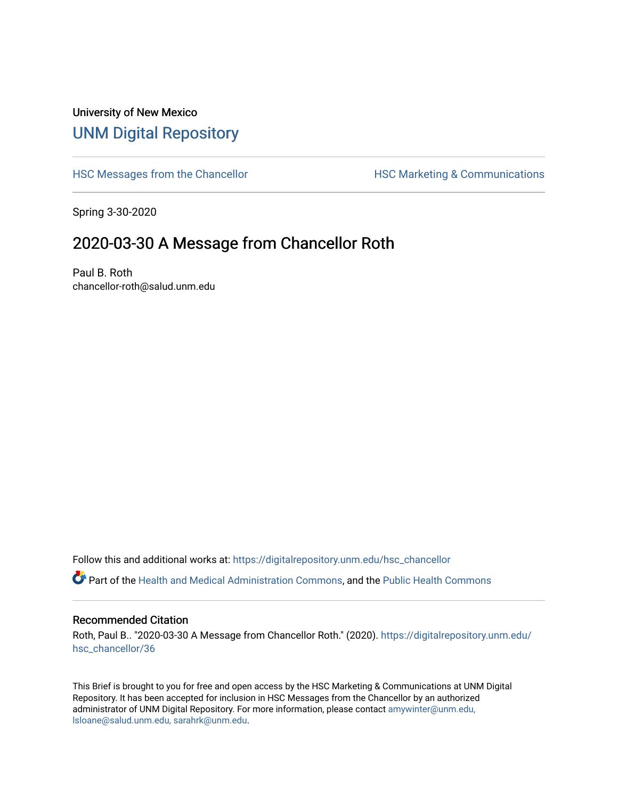## University of New Mexico [UNM Digital Repository](https://digitalrepository.unm.edu/)

[HSC Messages from the Chancellor](https://digitalrepository.unm.edu/hsc_chancellor) **HSC Marketing & Communications** 

Spring 3-30-2020

## 2020-03-30 A Message from Chancellor Roth

Paul B. Roth chancellor-roth@salud.unm.edu

Follow this and additional works at: [https://digitalrepository.unm.edu/hsc\\_chancellor](https://digitalrepository.unm.edu/hsc_chancellor?utm_source=digitalrepository.unm.edu%2Fhsc_chancellor%2F36&utm_medium=PDF&utm_campaign=PDFCoverPages) 

Part of the [Health and Medical Administration Commons](http://network.bepress.com/hgg/discipline/663?utm_source=digitalrepository.unm.edu%2Fhsc_chancellor%2F36&utm_medium=PDF&utm_campaign=PDFCoverPages), and the [Public Health Commons](http://network.bepress.com/hgg/discipline/738?utm_source=digitalrepository.unm.edu%2Fhsc_chancellor%2F36&utm_medium=PDF&utm_campaign=PDFCoverPages) 

## Recommended Citation

Roth, Paul B.. "2020-03-30 A Message from Chancellor Roth." (2020). [https://digitalrepository.unm.edu/](https://digitalrepository.unm.edu/hsc_chancellor/36?utm_source=digitalrepository.unm.edu%2Fhsc_chancellor%2F36&utm_medium=PDF&utm_campaign=PDFCoverPages) [hsc\\_chancellor/36](https://digitalrepository.unm.edu/hsc_chancellor/36?utm_source=digitalrepository.unm.edu%2Fhsc_chancellor%2F36&utm_medium=PDF&utm_campaign=PDFCoverPages) 

This Brief is brought to you for free and open access by the HSC Marketing & Communications at UNM Digital Repository. It has been accepted for inclusion in HSC Messages from the Chancellor by an authorized administrator of UNM Digital Repository. For more information, please contact [amywinter@unm.edu,](mailto:amywinter@unm.edu,%20lsloane@salud.unm.edu,%20sarahrk@unm.edu) [lsloane@salud.unm.edu, sarahrk@unm.edu.](mailto:amywinter@unm.edu,%20lsloane@salud.unm.edu,%20sarahrk@unm.edu)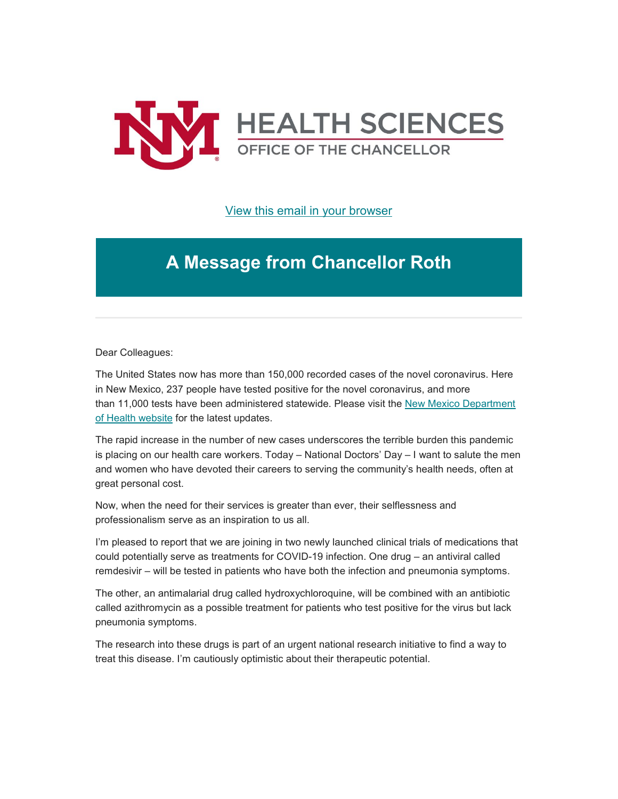

[View this email in your browser](https://mailchi.mp/eea52af6b16a/message-from-the-chancellor-coronavirus-4363556?e=b4bbfca2c0)

## **A Message from Chancellor Roth**

Dear Colleagues:

The United States now has more than 150,000 recorded cases of the novel coronavirus. Here in New Mexico, 237 people have tested positive for the novel coronavirus, and more than 11,000 tests have been administered statewide. Please visit the New Mexico Department [of Health website](https://unm.us19.list-manage.com/track/click?u=59ce53c1a4dedb490bac78648&id=9dde20f1ab&e=b4bbfca2c0) for the latest updates.

The rapid increase in the number of new cases underscores the terrible burden this pandemic is placing on our health care workers. Today – National Doctors' Day – I want to salute the men and women who have devoted their careers to serving the community's health needs, often at great personal cost.

Now, when the need for their services is greater than ever, their selflessness and professionalism serve as an inspiration to us all.

I'm pleased to report that we are joining in two newly launched clinical trials of medications that could potentially serve as treatments for COVID-19 infection. One drug – an antiviral called remdesivir – will be tested in patients who have both the infection and pneumonia symptoms.

The other, an antimalarial drug called hydroxychloroquine, will be combined with an antibiotic called azithromycin as a possible treatment for patients who test positive for the virus but lack pneumonia symptoms.

The research into these drugs is part of an urgent national research initiative to find a way to treat this disease. I'm cautiously optimistic about their therapeutic potential.